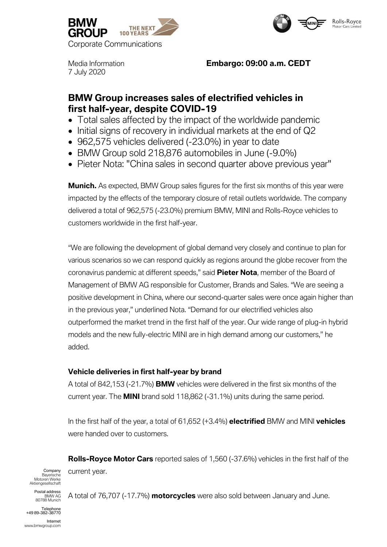



7 July 2020

## Media Information **Embargo: 09:00 a.m. CEDT**

# **BMW Group increases sales of electrified vehicles in first half-year, despite COVID-19**

- Total sales affected by the impact of the worldwide pandemic
- Initial signs of recovery in individual markets at the end of Q2
- 962,575 vehicles delivered (-23.0%) in year to date
- BMW Group sold 218,876 automobiles in June (-9.0%)
- Pieter Nota: "China sales in second quarter above previous year"

**Munich.** As expected, BMW Group sales figures for the first six months of this year were impacted by the effects of the temporary closure of retail outlets worldwide. The company delivered a total of 962,575 (-23.0%) premium BMW, MINI and Rolls-Royce vehicles to customers worldwide in the first half-year.

"We are following the development of global demand very closely and continue to plan for various scenarios so we can respond quickly as regions around the globe recover from the coronavirus pandemic at different speeds," said **Pieter Nota**, member of the Board of Management of BMW AG responsible for Customer, Brands and Sales. "We are seeing a positive development in China, where our second-quarter sales were once again higher than in the previous year," underlined Nota. "Demand for our electrified vehicles also outperformed the market trend in the first half of the year. Our wide range of plug-in hybrid models and the new fully-electric MINI are in high demand among our customers," he added.

## **Vehicle deliveries in first half-year by brand**

A total of 842,153 (-21.7%) **BMW** vehicles were delivered in the first six months of the current year. The **MINI** brand sold 118,862 (-31.1%) units during the same period.

In the first half of the year, a total of 61,652 (+3.4%) **electrified** BMW and MINI **vehicles**  were handed over to customers.

**Rolls-Royce Motor Cars** reported sales of 1,560 (-37.6%) vehicles in the first half of the current year.

Company Bayerische Motoren Werke Aktiengesellschaft

ostal address BMW AG 80788 Munich

Telephone +49 89-382-38770

Internet www.bmwgroup.com A total of 76,707 (-17.7%) **motorcycles** were also sold between January and June.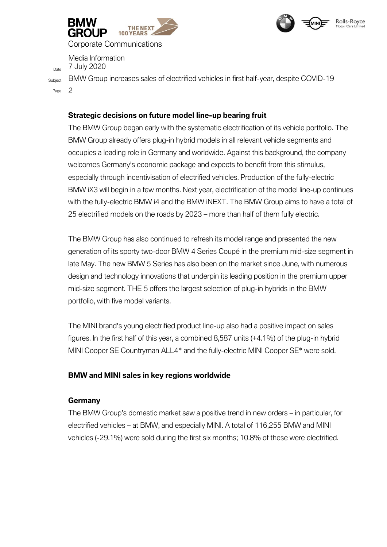



Corporate Communications

Media Information

 $D_{\text{date}}$  7 July 2020

Subject BMW Group increases sales of electrified vehicles in first half-year, despite COVID-19 Page 2

### **Strategic decisions on future model line-up bearing fruit**

The BMW Group began early with the systematic electrification of its vehicle portfolio. The BMW Group already offers plug-in hybrid models in all relevant vehicle segments and occupies a leading role in Germany and worldwide. Against this background, the company welcomes Germany's economic package and expects to benefit from this stimulus, especially through incentivisation of electrified vehicles. Production of the fully-electric BMW iX3 will begin in a few months. Next year, electrification of the model line-up continues with the fully-electric BMW i4 and the BMW iNEXT. The BMW Group aims to have a total of 25 electrified models on the roads by 2023 – more than half of them fully electric.

The BMW Group has also continued to refresh its model range and presented the new generation of its sporty two-door BMW 4 Series Coupé in the premium mid-size segment in late May. The new BMW 5 Series has also been on the market since June, with numerous design and technology innovations that underpin its leading position in the premium upper mid-size segment. THE 5 offers the largest selection of plug-in hybrids in the BMW portfolio, with five model variants.

The MINI brand's young electrified product line-up also had a positive impact on sales figures. In the first half of this year, a combined 8,587 units (+4.1%) of the plug-in hybrid MINI Cooper SE Countryman ALL4\* and the fully-electric MINI Cooper SE\* were sold.

#### **BMW and MINI sales in key regions worldwide**

#### **Germany**

The BMW Group's domestic market saw a positive trend in new orders – in particular, for electrified vehicles – at BMW, and especially MINI. A total of 116,255 BMW and MINI vehicles (-29.1%) were sold during the first six months; 10.8% of these were electrified.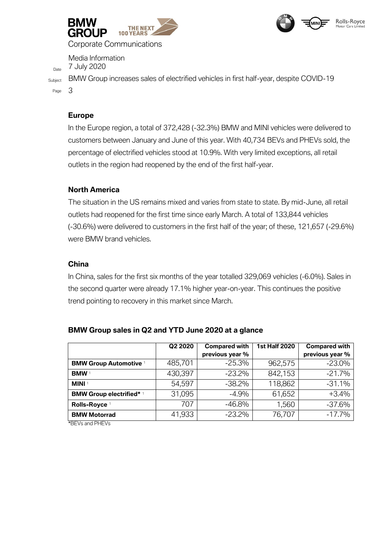



Corporate Communications

Media Information

 $D_{\text{date}}$  7 July 2020

Subject BMW Group increases sales of electrified vehicles in first half-year, despite COVID-19 Page 3

### **Europe**

In the Europe region, a total of 372,428 (-32.3%) BMW and MINI vehicles were delivered to customers between January and June of this year. With 40,734 BEVs and PHEVs sold, the percentage of electrified vehicles stood at 10.9%. With very limited exceptions, all retail outlets in the region had reopened by the end of the first half-year.

### **North America**

The situation in the US remains mixed and varies from state to state. By mid-June, all retail outlets had reopened for the first time since early March. A total of 133,844 vehicles (-30.6%) were delivered to customers in the first half of the year; of these, 121,657 (-29.6%) were BMW brand vehicles.

#### **China**

In China, sales for the first six months of the year totalled 329,069 vehicles (-6.0%). Sales in the second quarter were already 17.1% higher year-on-year. This continues the positive trend pointing to recovery in this market since March.

|                                 | Q2 2020 | <b>Compared with</b> | <b>1st Half 2020</b> | <b>Compared with</b> |
|---------------------------------|---------|----------------------|----------------------|----------------------|
|                                 |         | previous year %      |                      | previous year %      |
| <b>BMW Group Automotive</b>     | 485,701 | $-25.3%$             | 962,575              | $-23.0%$             |
| <b>BMW</b> <sup>1</sup>         | 430,397 | $-23.2\%$            | 842,153              | $-21.7%$             |
| <b>MINI</b> <sup>1</sup>        | 54,597  | $-38.2%$             | 118,862              | $-31.1%$             |
| <b>BMW Group electrified*</b> 1 | 31,095  | $-4.9%$              | 61,652               | $+3.4%$              |
| Rolls-Royce <sup>1</sup>        | 707     | $-46.8\%$            | 1,560                | $-37.6%$             |
| <b>BMW Motorrad</b>             | 41,933  | $-23.2%$             | 76,707               | $-17.7%$             |

#### **BMW Group sales in Q2 and YTD June 2020 at a glance**

\*BEVs and PHEVs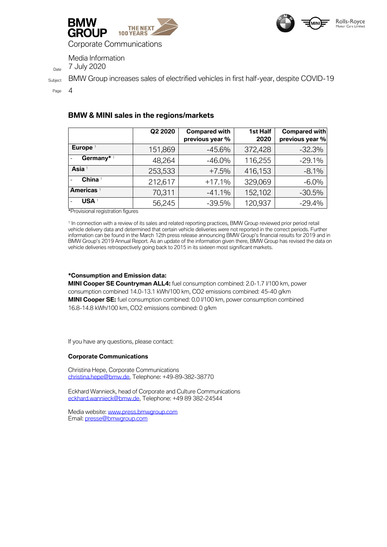



Corporate Communications

Media Information

 $D_{\text{date}}$  7 July 2020

Subject BMW Group increases sales of electrified vehicles in first half-year, despite COVID-19

Page 4

#### **BMW & MINI sales in the regions/markets**

|                              | Q2 2020 | <b>Compared with</b><br>previous year % | 1st Half<br>2020 | Compared with<br>previous year % |
|------------------------------|---------|-----------------------------------------|------------------|----------------------------------|
| Europe <sup>1</sup>          | 151,869 | $-45.6%$                                | 372,428          | $-32.3%$                         |
| Germany*1<br>$\overline{a}$  | 48,264  | $-46.0\%$                               | 116,255          | $-29.1%$                         |
| Asia 1                       | 253,533 | $+7.5%$                                 | 416,153          | $-8.1%$                          |
| China <sup>1</sup>           | 212,617 | $+17.1%$                                | 329,069          | $-6.0%$                          |
| <b>Americas</b> <sup>1</sup> | 70,311  | $-41.1%$                                | 152,102          | $-30.5%$                         |
| <b>USA</b> <sup>1</sup>      | 56,245  | $-39.5%$                                | 120,937          | $-29.4%$                         |

\*Provisional registration figures

1 In connection with a review of its sales and related reporting practices, BMW Group reviewed prior period retail vehicle delivery data and determined that certain vehicle deliveries were not reported in the correct periods. Further information can be found in the March 12th press release announcing BMW Group's financial results for 2019 and in BMW Group's 2019 Annual Report. As an update of the information given there, BMW Group has revised the data on vehicle deliveries retrospectively going back to 2015 in its sixteen most significant markets.

#### **\*Consumption and Emission data:**

**MINI Cooper SE Countryman ALL4:** fuel consumption combined: 2.0-1.7 l/100 km, power consumption combined 14.0-13.1 kWh/100 km, CO2 emissions combined: 45-40 g/km **MINI Cooper SE:** fuel consumption combined: 0.0 l/100 km, power consumption combined 16.8-14.8 kWh/100 km, CO2 emissions combined: 0 g/km

If you have any questions, please contact:

#### **Corporate Communications**

Christina Hepe, Corporate Communications christina.hepe@bmw.de, Telephone: +49-89-382-38770

Eckhard Wannieck, head of Corporate and Culture Communications [eckhard.wannieck@bmw.de,](mailto:eckhard.wannieck@bmw.de) Telephone: +49 89 382-24544

Media website: [www.press.bmwgroup.com](http://www.press.bmwgroup.com/) Email: [presse@bmwgroup.com](about:blank)